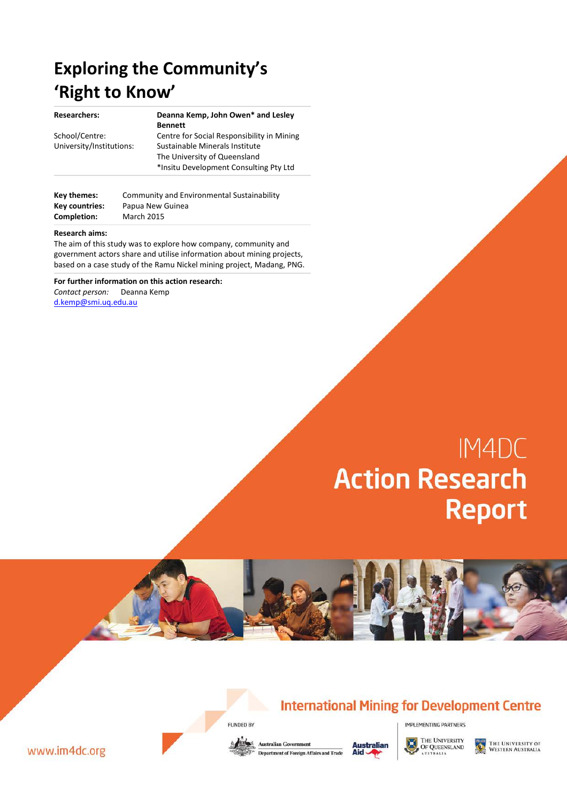# **Exploring the Community's 'Right to Know'**

| <b>Researchers:</b>      | Deanna Kemp, John Owen* and Lesley         |  |  |  |
|--------------------------|--------------------------------------------|--|--|--|
|                          | <b>Bennett</b>                             |  |  |  |
| School/Centre:           | Centre for Social Responsibility in Mining |  |  |  |
| University/Institutions: | Sustainable Minerals Institute             |  |  |  |
|                          | The University of Queensland               |  |  |  |
|                          | *Insitu Development Consulting Pty Ltd     |  |  |  |
|                          |                                            |  |  |  |

| Key themes:    | Community and Environmental Sustainability |
|----------------|--------------------------------------------|
| Key countries: | Papua New Guinea                           |
| Completion:    | <b>March 2015</b>                          |

#### **Research aims:**

The aim of this study was to explore how company, community and government actors share and utilise information about mining projects, based on a case study of the Ramu Nickel mining project, Madang, PNG.

**For further information on this action research:** *Contact person:* Deanna Kemp [d.kemp@smi.uq.edu.au](mailto:d.kemp@smi.uq.edu.au)

# IM4DC **Action Research Report**





IMPLEMENTING PARTNERS



www.im4dc.org

FUNDED BY

**Australian Government Department of Foreign Affairs and Trade** 



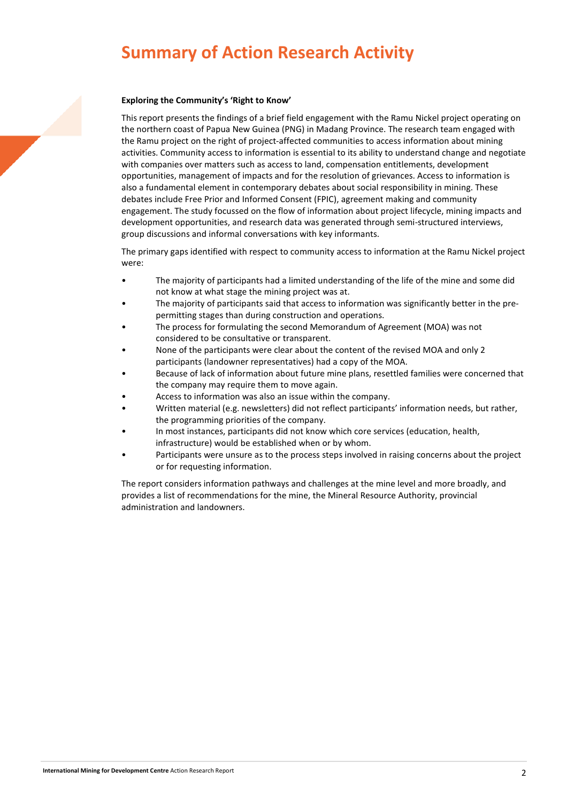# **Summary of Action Research Activity**

#### **Exploring the Community's 'Right to Know'**

This report presents the findings of a brief field engagement with the Ramu Nickel project operating on the northern coast of Papua New Guinea (PNG) in Madang Province. The research team engaged with the Ramu project on the right of project-affected communities to access information about mining activities. Community access to information is essential to its ability to understand change and negotiate with companies over matters such as access to land, compensation entitlements, development opportunities, management of impacts and for the resolution of grievances. Access to information is also a fundamental element in contemporary debates about social responsibility in mining. These debates include Free Prior and Informed Consent (FPIC), agreement making and community engagement. The study focussed on the flow of information about project lifecycle, mining impacts and development opportunities, and research data was generated through semi-structured interviews, group discussions and informal conversations with key informants.

The primary gaps identified with respect to community access to information at the Ramu Nickel project were:

- The majority of participants had a limited understanding of the life of the mine and some did not know at what stage the mining project was at.
- The majority of participants said that access to information was significantly better in the prepermitting stages than during construction and operations.
- The process for formulating the second Memorandum of Agreement (MOA) was not considered to be consultative or transparent.
- None of the participants were clear about the content of the revised MOA and only 2 participants (landowner representatives) had a copy of the MOA.
- Because of lack of information about future mine plans, resettled families were concerned that the company may require them to move again.
- Access to information was also an issue within the company.
- Written material (e.g. newsletters) did not reflect participants' information needs, but rather, the programming priorities of the company.
- In most instances, participants did not know which core services (education, health, infrastructure) would be established when or by whom.
- Participants were unsure as to the process steps involved in raising concerns about the project or for requesting information.

The report considers information pathways and challenges at the mine level and more broadly, and provides a list of recommendations for the mine, the Mineral Resource Authority, provincial administration and landowners.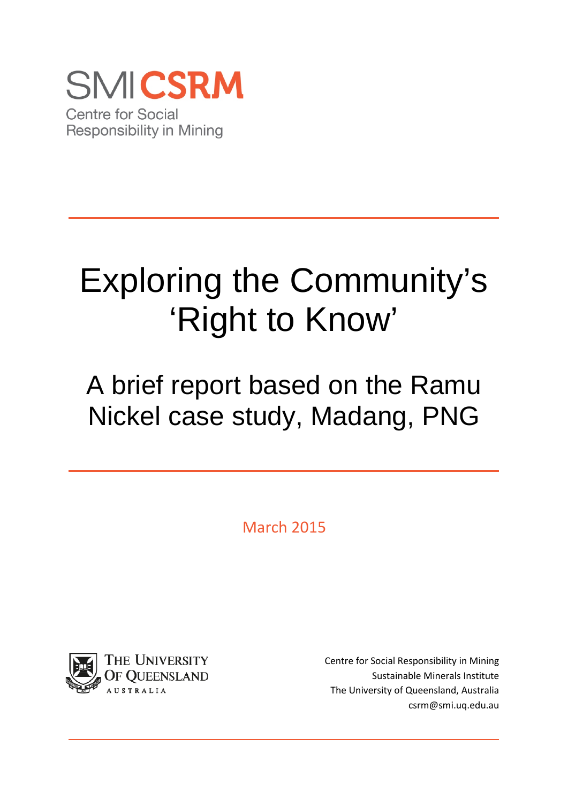

# Exploring the Community's 'Right to Know'

A brief report based on the Ramu Nickel case study, Madang, PNG

March 2015



Centre for Social Responsibility in Mining Sustainable Minerals Institute The University of Queensland, Australia csrm@smi.uq.edu.au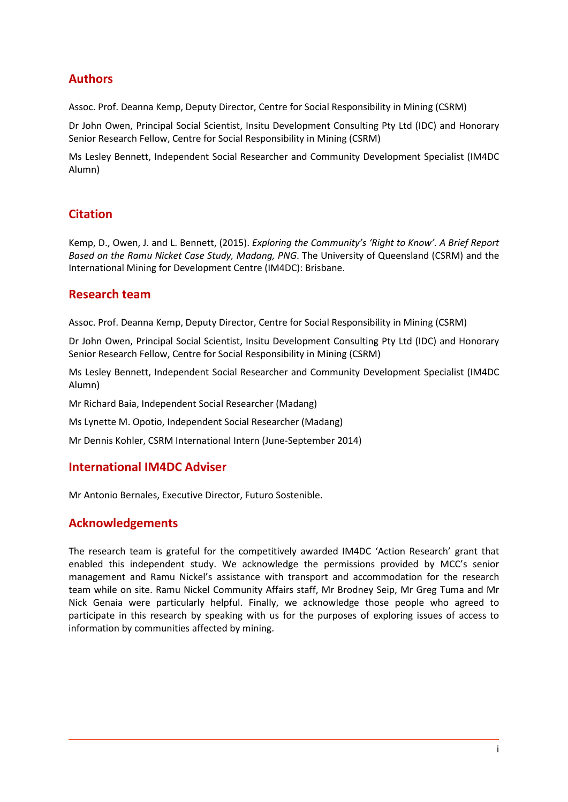# **Authors**

Assoc. Prof. Deanna Kemp, Deputy Director, Centre for Social Responsibility in Mining (CSRM)

Dr John Owen, Principal Social Scientist, Insitu Development Consulting Pty Ltd (IDC) and Honorary Senior Research Fellow, Centre for Social Responsibility in Mining (CSRM)

Ms Lesley Bennett, Independent Social Researcher and Community Development Specialist (IM4DC Alumn)

# **Citation**

Kemp, D., Owen, J. and L. Bennett, (2015). *Exploring the Community's 'Right to Know'. A Brief Report Based on the Ramu Nicket Case Study, Madang, PNG*. The University of Queensland (CSRM) and the International Mining for Development Centre (IM4DC): Brisbane.

# **Research team**

Assoc. Prof. Deanna Kemp, Deputy Director, Centre for Social Responsibility in Mining (CSRM)

Dr John Owen, Principal Social Scientist, Insitu Development Consulting Pty Ltd (IDC) and Honorary Senior Research Fellow, Centre for Social Responsibility in Mining (CSRM)

Ms Lesley Bennett, Independent Social Researcher and Community Development Specialist (IM4DC Alumn)

Mr Richard Baia, Independent Social Researcher (Madang)

Ms Lynette M. Opotio, Independent Social Researcher (Madang)

Mr Dennis Kohler, CSRM International Intern (June-September 2014)

# **International IM4DC Adviser**

Mr Antonio Bernales, Executive Director, Futuro Sostenible.

# **Acknowledgements**

The research team is grateful for the competitively awarded IM4DC 'Action Research' grant that enabled this independent study. We acknowledge the permissions provided by MCC's senior management and Ramu Nickel's assistance with transport and accommodation for the research team while on site. Ramu Nickel Community Affairs staff, Mr Brodney Seip, Mr Greg Tuma and Mr Nick Genaia were particularly helpful. Finally, we acknowledge those people who agreed to participate in this research by speaking with us for the purposes of exploring issues of access to information by communities affected by mining.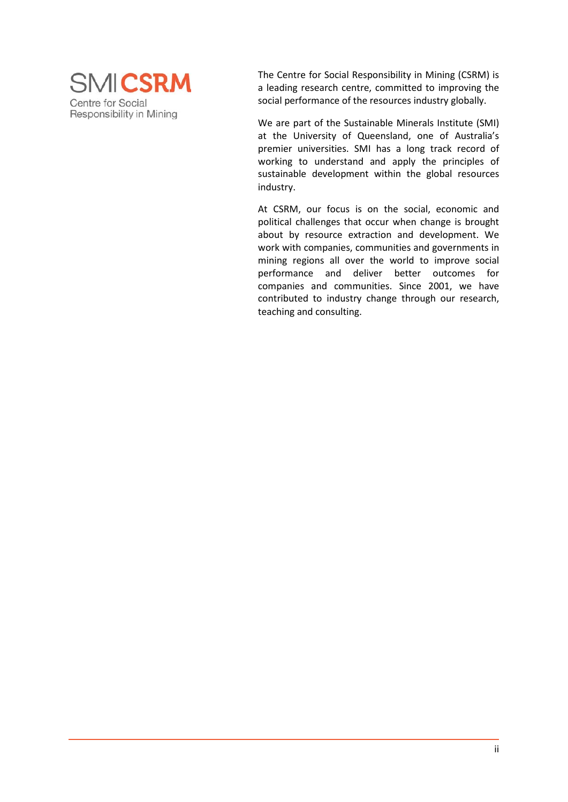

The Centre for Social Responsibility in Mining (CSRM) is a leading research centre, committed to improving the social performance of the resources industry globally.

We are part of the Sustainable Minerals Institute (SMI) at the University of Queensland, one of Australia's premier universities. SMI has a long track record of working to understand and apply the principles of sustainable development within the global resources industry.

At CSRM, our focus is on the social, economic and political challenges that occur when change is brought about by resource extraction and development. We work with companies, communities and governments in mining regions all over the world to improve social performance and deliver better outcomes for companies and communities. Since 2001, we have contributed to industry change through our research, teaching and consulting.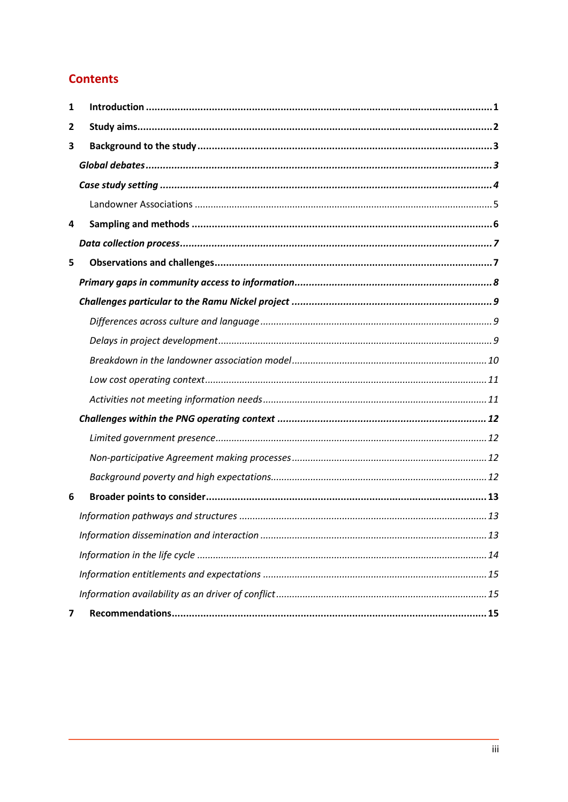# **Contents**

| 1 |  |
|---|--|
| 2 |  |
| 3 |  |
|   |  |
|   |  |
|   |  |
| 4 |  |
|   |  |
| 5 |  |
|   |  |
|   |  |
|   |  |
|   |  |
|   |  |
|   |  |
|   |  |
|   |  |
|   |  |
|   |  |
|   |  |
| 6 |  |
|   |  |
|   |  |
|   |  |
|   |  |
|   |  |
| 7 |  |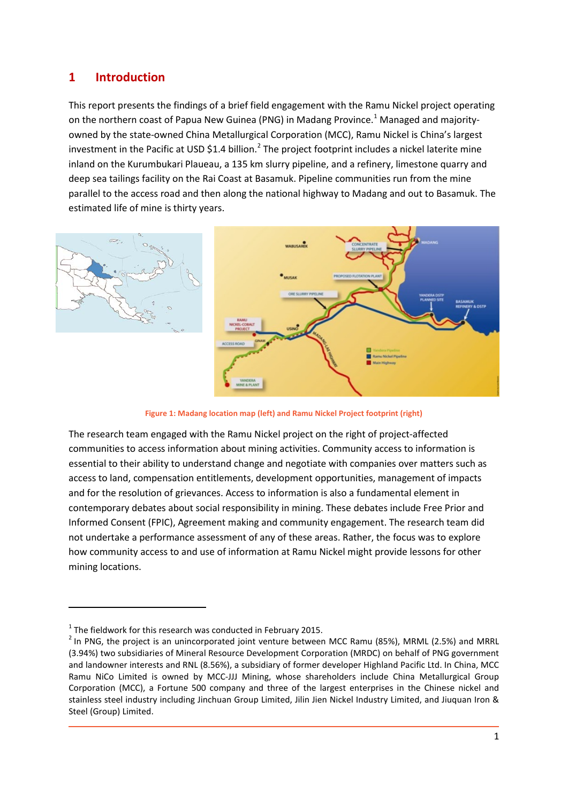# <span id="page-6-0"></span>**1 Introduction**

This report presents the findings of a brief field engagement with the Ramu Nickel project operating on the northern coast of Papua New Guinea (PNG) in Madang Province.<sup>[1](#page-6-1)</sup> Managed and majorityowned by the state-owned China Metallurgical Corporation (MCC), Ramu Nickel is China's largest investment in the Pacific at USD \$1.4 billion.<sup>[2](#page-6-2)</sup> The project footprint includes a nickel laterite mine inland on the Kurumbukari Plaueau, a 135 km slurry pipeline, and a refinery, limestone quarry and deep sea tailings facility on the Rai Coast at Basamuk. Pipeline communities run from the mine parallel to the access road and then along the national highway to Madang and out to Basamuk. The estimated life of mine is thirty years.



**Figure 1: Madang location map (left) and Ramu Nickel Project footprint (right)**

The research team engaged with the Ramu Nickel project on the right of project-affected communities to access information about mining activities. Community access to information is essential to their ability to understand change and negotiate with companies over matters such as access to land, compensation entitlements, development opportunities, management of impacts and for the resolution of grievances. Access to information is also a fundamental element in contemporary debates about social responsibility in mining. These debates include Free Prior and Informed Consent (FPIC), Agreement making and community engagement. The research team did not undertake a performance assessment of any of these areas. Rather, the focus was to explore how community access to and use of information at Ramu Nickel might provide lessons for other mining locations.

**.** 

<span id="page-6-1"></span> $1$ <sup>1</sup> The fieldwork for this research was conducted in February 2015.

<span id="page-6-2"></span> $2$  In PNG, the proiect is an unincorporated joint venture between MCC Ramu (85%), MRML (2.5%) and MRRL (3.94%) two subsidiaries of Mineral Resource Development Corporation (MRDC) on behalf of PNG government and landowner interests and RNL (8.56%), a subsidiary of former developer Highland Pacific Ltd. In China, MCC Ramu NiCo Limited is owned by MCC-JJJ Mining, whose shareholders include China Metallurgical Group Corporation (MCC), a Fortune 500 company and three of the largest enterprises in the Chinese nickel and stainless steel industry including Jinchuan Group Limited, Jilin Jien Nickel Industry Limited, and Jiuquan Iron & Steel (Group) Limited.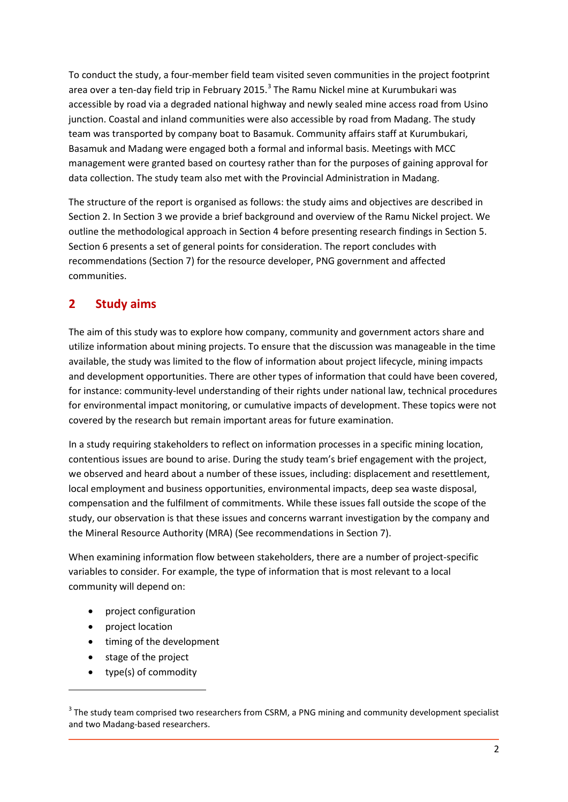To conduct the study, a four-member field team visited seven communities in the project footprint area over a ten-day field trip in February 2015. $3$  The Ramu Nickel mine at Kurumbukari was accessible by road via a degraded national highway and newly sealed mine access road from Usino junction. Coastal and inland communities were also accessible by road from Madang. The study team was transported by company boat to Basamuk. Community affairs staff at Kurumbukari, Basamuk and Madang were engaged both a formal and informal basis. Meetings with MCC management were granted based on courtesy rather than for the purposes of gaining approval for data collection. The study team also met with the Provincial Administration in Madang.

The structure of the report is organised as follows: the study aims and objectives are described in Section 2. In Section 3 we provide a brief background and overview of the Ramu Nickel project. We outline the methodological approach in Section 4 before presenting research findings in Section 5. Section 6 presents a set of general points for consideration. The report concludes with recommendations (Section 7) for the resource developer, PNG government and affected communities.

# <span id="page-7-0"></span>**2 Study aims**

The aim of this study was to explore how company, community and government actors share and utilize information about mining projects. To ensure that the discussion was manageable in the time available, the study was limited to the flow of information about project lifecycle, mining impacts and development opportunities. There are other types of information that could have been covered, for instance: community-level understanding of their rights under national law, technical procedures for environmental impact monitoring, or cumulative impacts of development. These topics were not covered by the research but remain important areas for future examination.

In a study requiring stakeholders to reflect on information processes in a specific mining location, contentious issues are bound to arise. During the study team's brief engagement with the project, we observed and heard about a number of these issues, including: displacement and resettlement, local employment and business opportunities, environmental impacts, deep sea waste disposal, compensation and the fulfilment of commitments. While these issues fall outside the scope of the study, our observation is that these issues and concerns warrant investigation by the company and the Mineral Resource Authority (MRA) (See recommendations in Section 7).

When examining information flow between stakeholders, there are a number of project-specific variables to consider. For example, the type of information that is most relevant to a local community will depend on:

- project configuration
- project location

 $\overline{a}$ 

- timing of the development
- stage of the project
- type(s) of commodity

<span id="page-7-1"></span><sup>&</sup>lt;sup>3</sup> The study team comprised two researchers from CSRM, a PNG mining and community development specialist and two Madang-based researchers.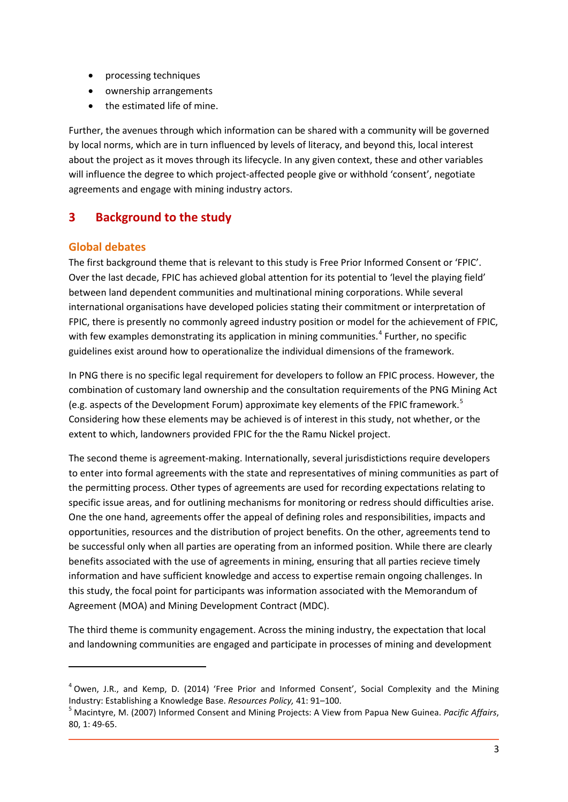- processing techniques
- ownership arrangements
- the estimated life of mine.

Further, the avenues through which information can be shared with a community will be governed by local norms, which are in turn influenced by levels of literacy, and beyond this, local interest about the project as it moves through its lifecycle. In any given context, these and other variables will influence the degree to which project-affected people give or withhold 'consent', negotiate agreements and engage with mining industry actors.

# <span id="page-8-0"></span>**3 Background to the study**

## <span id="page-8-1"></span>**Global debates**

**.** 

The first background theme that is relevant to this study is Free Prior Informed Consent or 'FPIC'. Over the last decade, FPIC has achieved global attention for its potential to 'level the playing field' between land dependent communities and multinational mining corporations. While several international organisations have developed policies stating their commitment or interpretation of FPIC, there is presently no commonly agreed industry position or model for the achievement of FPIC, with few examples demonstrating its application in mining communities.<sup>[4](#page-8-2)</sup> Further, no specific guidelines exist around how to operationalize the individual dimensions of the framework.

In PNG there is no specific legal requirement for developers to follow an FPIC process. However, the combination of customary land ownership and the consultation requirements of the PNG Mining Act (e.g. aspects of the Development Forum) approximate key elements of the FPIC framework.[5](#page-8-3) Considering how these elements may be achieved is of interest in this study, not whether, or the extent to which, landowners provided FPIC for the the Ramu Nickel project.

The second theme is agreement-making. Internationally, several jurisdistictions require developers to enter into formal agreements with the state and representatives of mining communities as part of the permitting process. Other types of agreements are used for recording expectations relating to specific issue areas, and for outlining mechanisms for monitoring or redress should difficulties arise. One the one hand, agreements offer the appeal of defining roles and responsibilities, impacts and opportunities, resources and the distribution of project benefits. On the other, agreements tend to be successful only when all parties are operating from an informed position. While there are clearly benefits associated with the use of agreements in mining, ensuring that all parties recieve timely information and have sufficient knowledge and access to expertise remain ongoing challenges. In this study, the focal point for participants was information associated with the Memorandum of Agreement (MOA) and Mining Development Contract (MDC).

The third theme is community engagement. Across the mining industry, the expectation that local and landowning communities are engaged and participate in processes of mining and development

<span id="page-8-2"></span> $<sup>4</sup>$  Owen, J.R., and Kemp, D. (2014) 'Free Prior and Informed Consent', Social Complexity and the Mining</sup> Industry: Establishing a Knowledge Base. *Resources Policy,* 41: 91–100.<br><sup>5</sup> Macintyre, M. (2007) Informed Consent and Mining Projects: A View from Papua New Guinea. *Pacific Affairs*,

<span id="page-8-3"></span><sup>80, 1: 49-65.</sup>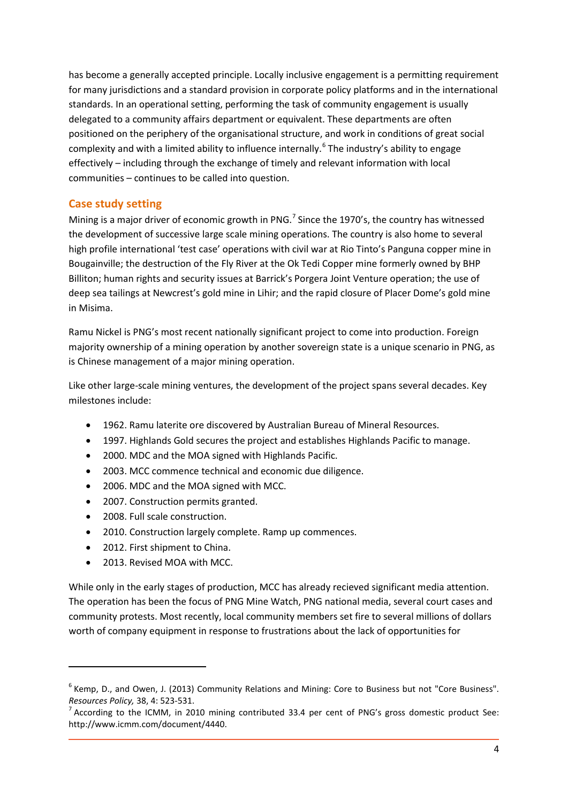has become a generally accepted principle. Locally inclusive engagement is a permitting requirement for many jurisdictions and a standard provision in corporate policy platforms and in the international standards. In an operational setting, performing the task of community engagement is usually delegated to a community affairs department or equivalent. These departments are often positioned on the periphery of the organisational structure, and work in conditions of great social complexity and with a limited ability to influence internally.<sup>[6](#page-9-1)</sup> The industry's ability to engage effectively – including through the exchange of timely and relevant information with local communities – continues to be called into question.

#### <span id="page-9-0"></span>**Case study setting**

Mining is a major driver of economic growth in PNG.<sup>[7](#page-9-2)</sup> Since the 1970's, the country has witnessed the development of successive large scale mining operations. The country is also home to several high profile international 'test case' operations with civil war at Rio Tinto's Panguna copper mine in Bougainville; the destruction of the Fly River at the Ok Tedi Copper mine formerly owned by BHP Billiton; human rights and security issues at Barrick's Porgera Joint Venture operation; the use of deep sea tailings at Newcrest's gold mine in Lihir; and the rapid closure of Placer Dome's gold mine in Misima.

Ramu Nickel is PNG's most recent nationally significant project to come into production. Foreign majority ownership of a mining operation by another sovereign state is a unique scenario in PNG, as is Chinese management of a major mining operation.

Like other large-scale mining ventures, the development of the project spans several decades. Key milestones include:

- 1962. Ramu laterite ore discovered by Australian Bureau of Mineral Resources.
- 1997. Highlands Gold secures the project and establishes Highlands Pacific to manage.
- 2000. MDC and the MOA signed with Highlands Pacific.
- 2003. MCC commence technical and economic due diligence.
- 2006. MDC and the MOA signed with MCC.
- 2007. Construction permits granted.
- 2008. Full scale construction.
- 2010. Construction largely complete. Ramp up commences.
- 2012. First shipment to China.
- 2013. Revised MOA with MCC.

**.** 

While only in the early stages of production, MCC has already recieved significant media attention. The operation has been the focus of PNG Mine Watch, PNG national media, several court cases and community protests. Most recently, local community members set fire to several millions of dollars worth of company equipment in response to frustrations about the lack of opportunities for

<span id="page-9-1"></span><sup>&</sup>lt;sup>6</sup> Kemp, D., and Owen, J. (2013) Community Relations and Mining: Core to Business but not "Core Business". *Resources Policy,* 38, 4: 523-531.<br><sup>7</sup> According to the ICMM, in 2010 mining contributed 33.4 per cent of PNG's gross domestic product See:

<span id="page-9-2"></span>http://www.icmm.com/document/4440.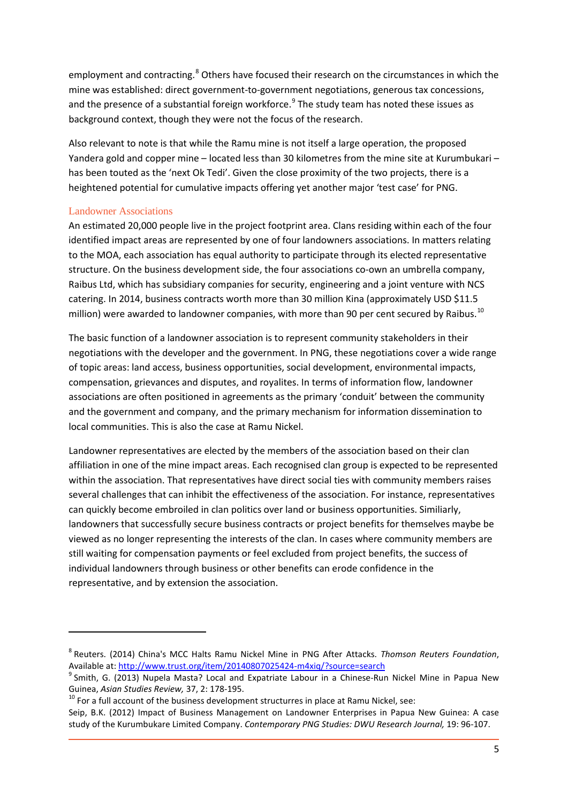employment and contracting.<sup>[8](#page-10-1)</sup> Others have focused their research on the circumstances in which the mine was established: direct government-to-government negotiations, generous tax concessions, and the presence of a substantial foreign workforce.<sup>[9](#page-10-2)</sup> The study team has noted these issues as background context, though they were not the focus of the research.

Also relevant to note is that while the Ramu mine is not itself a large operation, the proposed Yandera gold and copper mine – located less than 30 kilometres from the mine site at Kurumbukari – has been touted as the 'next Ok Tedi'. Given the close proximity of the two projects, there is a heightened potential for cumulative impacts offering yet another major 'test case' for PNG.

#### <span id="page-10-0"></span>Landowner Associations

 $\overline{a}$ 

An estimated 20,000 people live in the project footprint area. Clans residing within each of the four identified impact areas are represented by one of four landowners associations. In matters relating to the MOA, each association has equal authority to participate through its elected representative structure. On the business development side, the four associations co-own an umbrella company, Raibus Ltd, which has subsidiary companies for security, engineering and a joint venture with NCS catering. In 2014, business contracts worth more than 30 million Kina (approximately USD \$11.5 million) were awarded to landowner companies, with more than 90 per cent secured by Raibus.<sup>[10](#page-10-3)</sup>

The basic function of a landowner association is to represent community stakeholders in their negotiations with the developer and the government. In PNG, these negotiations cover a wide range of topic areas: land access, business opportunities, social development, environmental impacts, compensation, grievances and disputes, and royalites. In terms of information flow, landowner associations are often positioned in agreements as the primary 'conduit' between the community and the government and company, and the primary mechanism for information dissemination to local communities. This is also the case at Ramu Nickel.

Landowner representatives are elected by the members of the association based on their clan affiliation in one of the mine impact areas. Each recognised clan group is expected to be represented within the association. That representatives have direct social ties with community members raises several challenges that can inhibit the effectiveness of the association. For instance, representatives can quickly become embroiled in clan politics over land or business opportunities. Similiarly, landowners that successfully secure business contracts or project benefits for themselves maybe be viewed as no longer representing the interests of the clan. In cases where community members are still waiting for compensation payments or feel excluded from project benefits, the success of individual landowners through business or other benefits can erode confidence in the representative, and by extension the association.

<span id="page-10-1"></span><sup>8</sup> Reuters. (2014) China's MCC Halts Ramu Nickel Mine in PNG After Attacks. *Thomson Reuters Foundation*, Available at:<http://www.trust.org/item/20140807025424-m4xiq/?source=search><br><sup>9</sup> Smith, G. (2013) Nupela Masta? Local and Expatriate Labour in a Chinese-Run Nickel Mine in Papua New

<span id="page-10-2"></span>

<span id="page-10-3"></span>Guinea, *Asian Studies Review*, 37, 2: 178-195.<br><sup>10</sup> For a full account of the business development structurres in place at Ramu Nickel, see:

Seip, B.K. (2012) Impact of Business Management on Landowner Enterprises in Papua New Guinea: A case study of the Kurumbukare Limited Company. *Contemporary PNG Studies: DWU Research Journal,* 19: 96-107.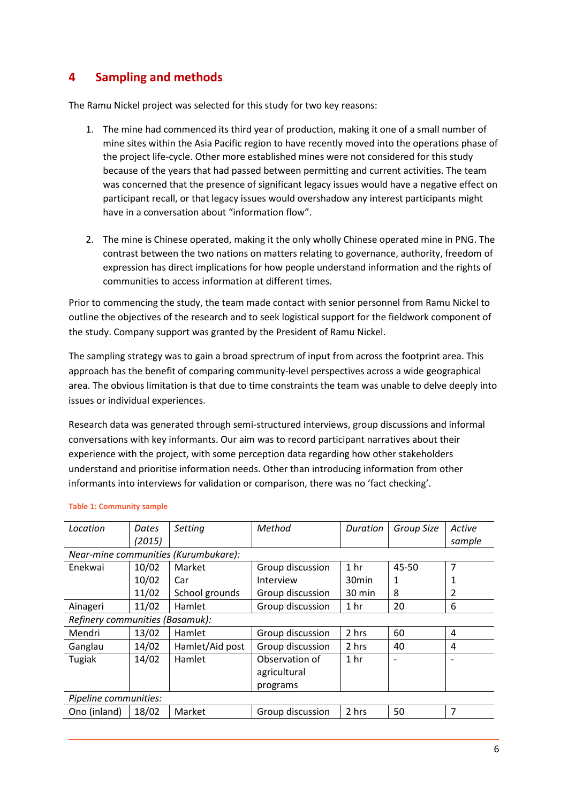# <span id="page-11-0"></span>**4 Sampling and methods**

The Ramu Nickel project was selected for this study for two key reasons:

- 1. The mine had commenced its third year of production, making it one of a small number of mine sites within the Asia Pacific region to have recently moved into the operations phase of the project life-cycle. Other more established mines were not considered for this study because of the years that had passed between permitting and current activities. The team was concerned that the presence of significant legacy issues would have a negative effect on participant recall, or that legacy issues would overshadow any interest participants might have in a conversation about "information flow".
- 2. The mine is Chinese operated, making it the only wholly Chinese operated mine in PNG. The contrast between the two nations on matters relating to governance, authority, freedom of expression has direct implications for how people understand information and the rights of communities to access information at different times.

Prior to commencing the study, the team made contact with senior personnel from Ramu Nickel to outline the objectives of the research and to seek logistical support for the fieldwork component of the study. Company support was granted by the President of Ramu Nickel.

The sampling strategy was to gain a broad sprectrum of input from across the footprint area. This approach has the benefit of comparing community-level perspectives across a wide geographical area. The obvious limitation is that due to time constraints the team was unable to delve deeply into issues or individual experiences.

Research data was generated through semi-structured interviews, group discussions and informal conversations with key informants. Our aim was to record participant narratives about their experience with the project, with some perception data regarding how other stakeholders understand and prioritise information needs. Other than introducing information from other informants into interviews for validation or comparison, there was no 'fact checking'.

| Location                        | Dates<br>(2015)                      | Setting         | Method                                     | Duration          | Group Size               | Active<br>sample |  |  |  |
|---------------------------------|--------------------------------------|-----------------|--------------------------------------------|-------------------|--------------------------|------------------|--|--|--|
|                                 | Near-mine communities (Kurumbukare): |                 |                                            |                   |                          |                  |  |  |  |
| Enekwai                         | 10/02                                | Market          | Group discussion                           | 1 <sub>hr</sub>   | 45-50                    | 7                |  |  |  |
|                                 | 10/02                                | Car             | Interview                                  | 30 <sub>min</sub> | 1                        |                  |  |  |  |
|                                 | 11/02                                | School grounds  | Group discussion                           | 30 min            | 8                        | 2                |  |  |  |
| Ainageri                        | 11/02                                | Hamlet          | Group discussion                           | 1 <sub>hr</sub>   | 20                       | 6                |  |  |  |
| Refinery communities (Basamuk): |                                      |                 |                                            |                   |                          |                  |  |  |  |
| Mendri                          | 13/02                                | Hamlet          | Group discussion                           | 2 hrs             | 60                       | 4                |  |  |  |
| Ganglau                         | 14/02                                | Hamlet/Aid post | Group discussion                           | 2 hrs             | 40                       | 4                |  |  |  |
| Tugiak                          | 14/02                                | Hamlet          | Observation of<br>agricultural<br>programs | 1 <sub>hr</sub>   | $\overline{\phantom{0}}$ |                  |  |  |  |
| Pipeline communities:           |                                      |                 |                                            |                   |                          |                  |  |  |  |
| Ono (inland)                    | 18/02                                | Market          | Group discussion                           | 2 hrs             | 50                       | 7                |  |  |  |

#### **Table 1: Community sample**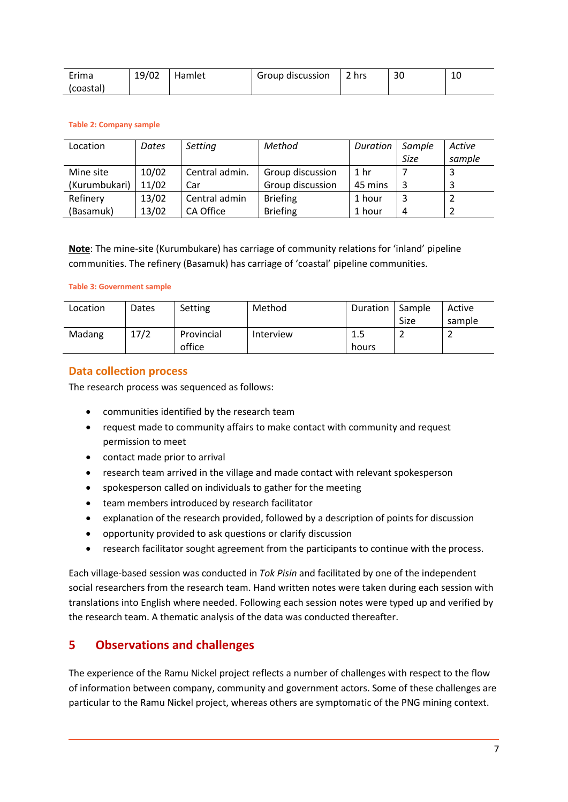| Erima     | 19/02 | Hamlet | Group discussion | 2 hrs | 30 | ⊥∪ |
|-----------|-------|--------|------------------|-------|----|----|
| (coastal) |       |        |                  |       |    |    |

#### **Table 2: Company sample**

| Location      | Dates | Setting        | Method           | Duration        | Sample | Active |
|---------------|-------|----------------|------------------|-----------------|--------|--------|
|               |       |                |                  |                 | Size   | sample |
| Mine site     | 10/02 | Central admin. | Group discussion | 1 <sub>hr</sub> |        |        |
| (Kurumbukari) | 11/02 | Car            | Group discussion | 45 mins         |        |        |
| Refinery      | 13/02 | Central admin  | <b>Briefing</b>  | 1 hour          |        |        |
| (Basamuk)     | 13/02 | CA Office      | <b>Briefing</b>  | 1 hour          | 4      |        |

**Note**: The mine-site (Kurumbukare) has carriage of community relations for 'inland' pipeline communities. The refinery (Basamuk) has carriage of 'coastal' pipeline communities.

#### **Table 3: Government sample**

| Location | Dates | Setting    | Method    | Duration | Sample | Active |
|----------|-------|------------|-----------|----------|--------|--------|
|          |       |            |           |          | Size   | sample |
| Madang   | 17/2  | Provincial | Interview | 1.5      | -      |        |
|          |       | office     |           | hours    |        |        |

#### <span id="page-12-0"></span>**Data collection process**

The research process was sequenced as follows:

- communities identified by the research team
- request made to community affairs to make contact with community and request permission to meet
- contact made prior to arrival
- research team arrived in the village and made contact with relevant spokesperson
- spokesperson called on individuals to gather for the meeting
- team members introduced by research facilitator
- explanation of the research provided, followed by a description of points for discussion
- opportunity provided to ask questions or clarify discussion
- research facilitator sought agreement from the participants to continue with the process.

Each village-based session was conducted in *Tok Pisin* and facilitated by one of the independent social researchers from the research team. Hand written notes were taken during each session with translations into English where needed. Following each session notes were typed up and verified by the research team. A thematic analysis of the data was conducted thereafter.

# <span id="page-12-1"></span>**5 Observations and challenges**

The experience of the Ramu Nickel project reflects a number of challenges with respect to the flow of information between company, community and government actors. Some of these challenges are particular to the Ramu Nickel project, whereas others are symptomatic of the PNG mining context.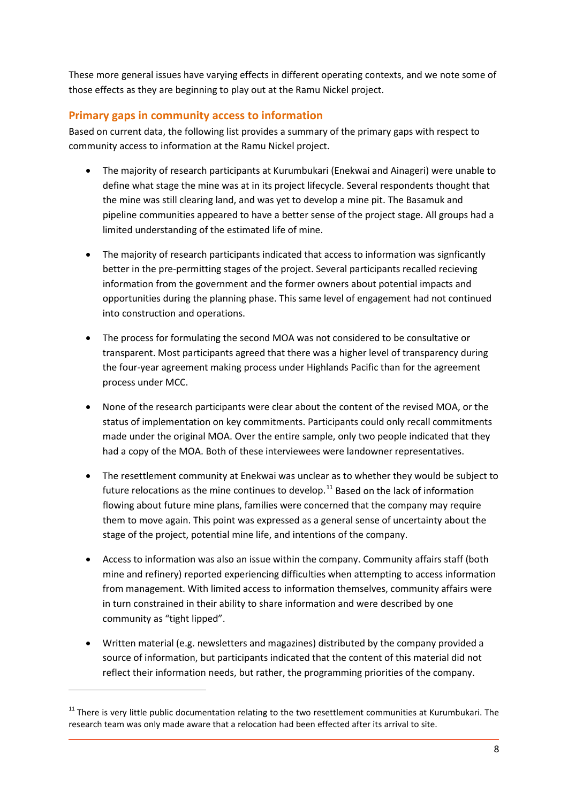These more general issues have varying effects in different operating contexts, and we note some of those effects as they are beginning to play out at the Ramu Nickel project.

### <span id="page-13-0"></span>**Primary gaps in community access to information**

Based on current data, the following list provides a summary of the primary gaps with respect to community access to information at the Ramu Nickel project.

- The majority of research participants at Kurumbukari (Enekwai and Ainageri) were unable to define what stage the mine was at in its project lifecycle. Several respondents thought that the mine was still clearing land, and was yet to develop a mine pit. The Basamuk and pipeline communities appeared to have a better sense of the project stage. All groups had a limited understanding of the estimated life of mine.
- The majority of research participants indicated that access to information was signficantly better in the pre-permitting stages of the project. Several participants recalled recieving information from the government and the former owners about potential impacts and opportunities during the planning phase. This same level of engagement had not continued into construction and operations.
- The process for formulating the second MOA was not considered to be consultative or transparent. Most participants agreed that there was a higher level of transparency during the four-year agreement making process under Highlands Pacific than for the agreement process under MCC.
- None of the research participants were clear about the content of the revised MOA, or the status of implementation on key commitments. Participants could only recall commitments made under the original MOA. Over the entire sample, only two people indicated that they had a copy of the MOA. Both of these interviewees were landowner representatives.
- The resettlement community at Enekwai was unclear as to whether they would be subject to future relocations as the mine continues to develop.<sup>[11](#page-13-1)</sup> Based on the lack of information flowing about future mine plans, families were concerned that the company may require them to move again. This point was expressed as a general sense of uncertainty about the stage of the project, potential mine life, and intentions of the company.
- Access to information was also an issue within the company. Community affairs staff (both mine and refinery) reported experiencing difficulties when attempting to access information from management. With limited access to information themselves, community affairs were in turn constrained in their ability to share information and were described by one community as "tight lipped".
- Written material (e.g. newsletters and magazines) distributed by the company provided a source of information, but participants indicated that the content of this material did not reflect their information needs, but rather, the programming priorities of the company.

 $\overline{a}$ 

<span id="page-13-1"></span> $11$  There is very little public documentation relating to the two resettlement communities at Kurumbukari. The research team was only made aware that a relocation had been effected after its arrival to site.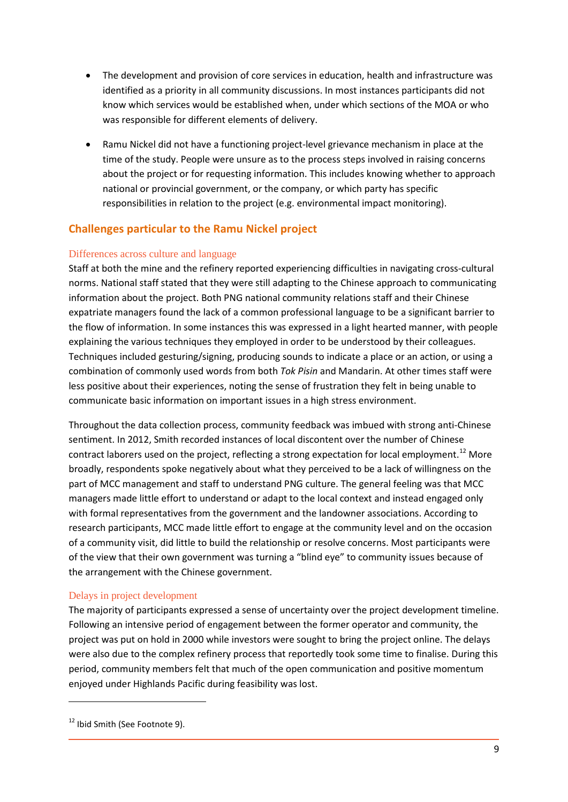- The development and provision of core services in education, health and infrastructure was identified as a priority in all community discussions. In most instances participants did not know which services would be established when, under which sections of the MOA or who was responsible for different elements of delivery.
- Ramu Nickel did not have a functioning project-level grievance mechanism in place at the time of the study. People were unsure as to the process steps involved in raising concerns about the project or for requesting information. This includes knowing whether to approach national or provincial government, or the company, or which party has specific responsibilities in relation to the project (e.g. environmental impact monitoring).

# <span id="page-14-0"></span>**Challenges particular to the Ramu Nickel project**

#### <span id="page-14-1"></span>Differences across culture and language

Staff at both the mine and the refinery reported experiencing difficulties in navigating cross-cultural norms. National staff stated that they were still adapting to the Chinese approach to communicating information about the project. Both PNG national community relations staff and their Chinese expatriate managers found the lack of a common professional language to be a significant barrier to the flow of information. In some instances this was expressed in a light hearted manner, with people explaining the various techniques they employed in order to be understood by their colleagues. Techniques included gesturing/signing, producing sounds to indicate a place or an action, or using a combination of commonly used words from both *Tok Pisin* and Mandarin. At other times staff were less positive about their experiences, noting the sense of frustration they felt in being unable to communicate basic information on important issues in a high stress environment.

Throughout the data collection process, community feedback was imbued with strong anti-Chinese sentiment. In 2012, Smith recorded instances of local discontent over the number of Chinese contract laborers used on the project, reflecting a strong expectation for local employment.<sup>[12](#page-14-3)</sup> More broadly, respondents spoke negatively about what they perceived to be a lack of willingness on the part of MCC management and staff to understand PNG culture. The general feeling was that MCC managers made little effort to understand or adapt to the local context and instead engaged only with formal representatives from the government and the landowner associations. According to research participants, MCC made little effort to engage at the community level and on the occasion of a community visit, did little to build the relationship or resolve concerns. Most participants were of the view that their own government was turning a "blind eye" to community issues because of the arrangement with the Chinese government.

#### <span id="page-14-2"></span>Delays in project development

The majority of participants expressed a sense of uncertainty over the project development timeline. Following an intensive period of engagement between the former operator and community, the project was put on hold in 2000 while investors were sought to bring the project online. The delays were also due to the complex refinery process that reportedly took some time to finalise. During this period, community members felt that much of the open communication and positive momentum enjoyed under Highlands Pacific during feasibility was lost.

**.** 

<span id="page-14-3"></span><sup>&</sup>lt;sup>12</sup> Ibid Smith (See Footnote 9).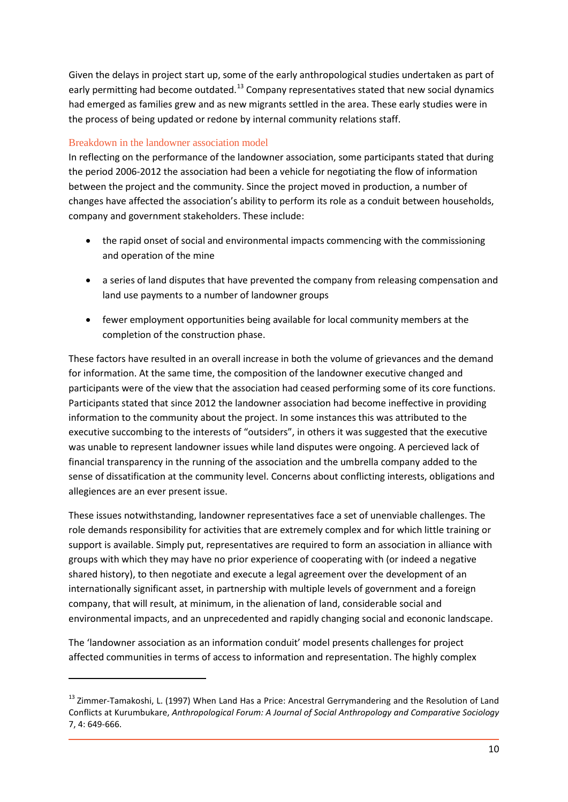Given the delays in project start up, some of the early anthropological studies undertaken as part of early permitting had become outdated.<sup>[13](#page-15-1)</sup> Company representatives stated that new social dynamics had emerged as families grew and as new migrants settled in the area. These early studies were in the process of being updated or redone by internal community relations staff.

#### <span id="page-15-0"></span>Breakdown in the landowner association model

**.** 

In reflecting on the performance of the landowner association, some participants stated that during the period 2006-2012 the association had been a vehicle for negotiating the flow of information between the project and the community. Since the project moved in production, a number of changes have affected the association's ability to perform its role as a conduit between households, company and government stakeholders. These include:

- the rapid onset of social and environmental impacts commencing with the commissioning and operation of the mine
- a series of land disputes that have prevented the company from releasing compensation and land use payments to a number of landowner groups
- fewer employment opportunities being available for local community members at the completion of the construction phase.

These factors have resulted in an overall increase in both the volume of grievances and the demand for information. At the same time, the composition of the landowner executive changed and participants were of the view that the association had ceased performing some of its core functions. Participants stated that since 2012 the landowner association had become ineffective in providing information to the community about the project. In some instances this was attributed to the executive succombing to the interests of "outsiders", in others it was suggested that the executive was unable to represent landowner issues while land disputes were ongoing. A percieved lack of financial transparency in the running of the association and the umbrella company added to the sense of dissatification at the community level. Concerns about conflicting interests, obligations and allegiences are an ever present issue.

These issues notwithstanding, landowner representatives face a set of unenviable challenges. The role demands responsibility for activities that are extremely complex and for which little training or support is available. Simply put, representatives are required to form an association in alliance with groups with which they may have no prior experience of cooperating with (or indeed a negative shared history), to then negotiate and execute a legal agreement over the development of an internationally significant asset, in partnership with multiple levels of government and a foreign company, that will result, at minimum, in the alienation of land, considerable social and environmental impacts, and an unprecedented and rapidly changing social and econonic landscape.

The 'landowner association as an information conduit' model presents challenges for project affected communities in terms of access to information and representation. The highly complex

<span id="page-15-1"></span><sup>&</sup>lt;sup>13</sup> Zimmer-Tamakoshi, L. (1997) When Land Has a Price: Ancestral Gerrymandering and the Resolution of Land Conflicts at Kurumbukare, *Anthropological Forum: A Journal of Social Anthropology and Comparative Sociology* 7, 4: 649-666.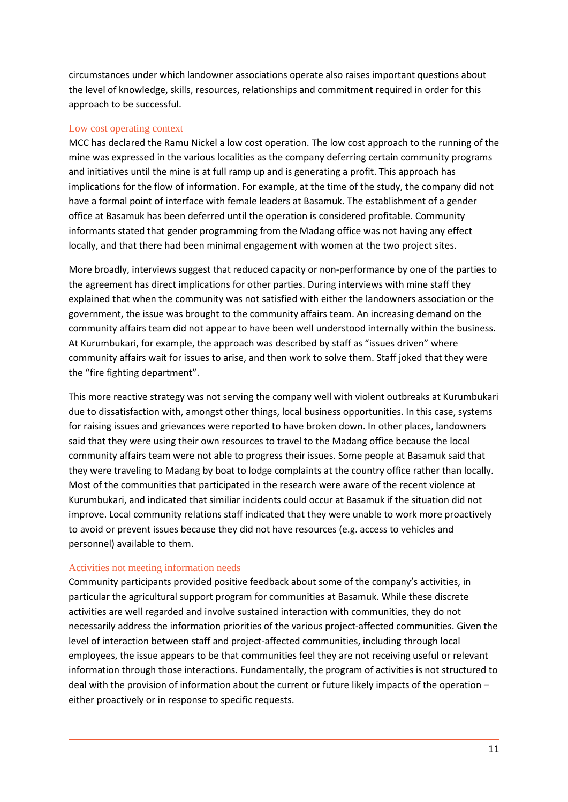circumstances under which landowner associations operate also raises important questions about the level of knowledge, skills, resources, relationships and commitment required in order for this approach to be successful.

#### <span id="page-16-0"></span>Low cost operating context

MCC has declared the Ramu Nickel a low cost operation. The low cost approach to the running of the mine was expressed in the various localities as the company deferring certain community programs and initiatives until the mine is at full ramp up and is generating a profit. This approach has implications for the flow of information. For example, at the time of the study, the company did not have a formal point of interface with female leaders at Basamuk. The establishment of a gender office at Basamuk has been deferred until the operation is considered profitable. Community informants stated that gender programming from the Madang office was not having any effect locally, and that there had been minimal engagement with women at the two project sites.

More broadly, interviews suggest that reduced capacity or non-performance by one of the parties to the agreement has direct implications for other parties. During interviews with mine staff they explained that when the community was not satisfied with either the landowners association or the government, the issue was brought to the community affairs team. An increasing demand on the community affairs team did not appear to have been well understood internally within the business. At Kurumbukari, for example, the approach was described by staff as "issues driven" where community affairs wait for issues to arise, and then work to solve them. Staff joked that they were the "fire fighting department".

This more reactive strategy was not serving the company well with violent outbreaks at Kurumbukari due to dissatisfaction with, amongst other things, local business opportunities. In this case, systems for raising issues and grievances were reported to have broken down. In other places, landowners said that they were using their own resources to travel to the Madang office because the local community affairs team were not able to progress their issues. Some people at Basamuk said that they were traveling to Madang by boat to lodge complaints at the country office rather than locally. Most of the communities that participated in the research were aware of the recent violence at Kurumbukari, and indicated that similiar incidents could occur at Basamuk if the situation did not improve. Local community relations staff indicated that they were unable to work more proactively to avoid or prevent issues because they did not have resources (e.g. access to vehicles and personnel) available to them.

#### <span id="page-16-1"></span>Activities not meeting information needs

Community participants provided positive feedback about some of the company's activities, in particular the agricultural support program for communities at Basamuk. While these discrete activities are well regarded and involve sustained interaction with communities, they do not necessarily address the information priorities of the various project-affected communities. Given the level of interaction between staff and project-affected communities, including through local employees, the issue appears to be that communities feel they are not receiving useful or relevant information through those interactions. Fundamentally, the program of activities is not structured to deal with the provision of information about the current or future likely impacts of the operation – either proactively or in response to specific requests.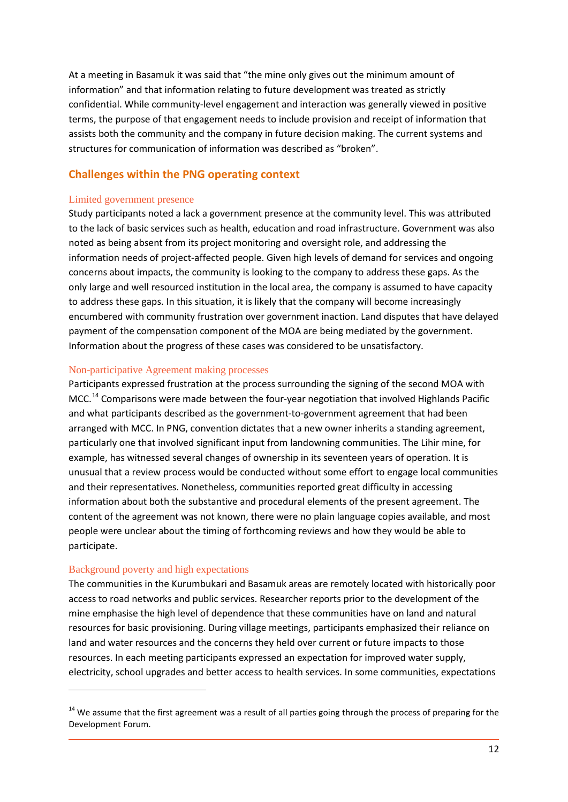At a meeting in Basamuk it was said that "the mine only gives out the minimum amount of information" and that information relating to future development was treated as strictly confidential. While community-level engagement and interaction was generally viewed in positive terms, the purpose of that engagement needs to include provision and receipt of information that assists both the community and the company in future decision making. The current systems and structures for communication of information was described as "broken".

### <span id="page-17-0"></span>**Challenges within the PNG operating context**

#### <span id="page-17-1"></span>Limited government presence

Study participants noted a lack a government presence at the community level. This was attributed to the lack of basic services such as health, education and road infrastructure. Government was also noted as being absent from its project monitoring and oversight role, and addressing the information needs of project-affected people. Given high levels of demand for services and ongoing concerns about impacts, the community is looking to the company to address these gaps. As the only large and well resourced institution in the local area, the company is assumed to have capacity to address these gaps. In this situation, it is likely that the company will become increasingly encumbered with community frustration over government inaction. Land disputes that have delayed payment of the compensation component of the MOA are being mediated by the government. Information about the progress of these cases was considered to be unsatisfactory.

#### <span id="page-17-2"></span>Non-participative Agreement making processes

Participants expressed frustration at the process surrounding the signing of the second MOA with MCC.<sup>[14](#page-17-4)</sup> Comparisons were made between the four-year negotiation that involved Highlands Pacific and what participants described as the government-to-government agreement that had been arranged with MCC. In PNG, convention dictates that a new owner inherits a standing agreement, particularly one that involved significant input from landowning communities. The Lihir mine, for example, has witnessed several changes of ownership in its seventeen years of operation. It is unusual that a review process would be conducted without some effort to engage local communities and their representatives. Nonetheless, communities reported great difficulty in accessing information about both the substantive and procedural elements of the present agreement. The content of the agreement was not known, there were no plain language copies available, and most people were unclear about the timing of forthcoming reviews and how they would be able to participate.

#### <span id="page-17-3"></span>Background poverty and high expectations

 $\overline{a}$ 

The communities in the Kurumbukari and Basamuk areas are remotely located with historically poor access to road networks and public services. Researcher reports prior to the development of the mine emphasise the high level of dependence that these communities have on land and natural resources for basic provisioning. During village meetings, participants emphasized their reliance on land and water resources and the concerns they held over current or future impacts to those resources. In each meeting participants expressed an expectation for improved water supply, electricity, school upgrades and better access to health services. In some communities, expectations

<span id="page-17-4"></span><sup>&</sup>lt;sup>14</sup> We assume that the first agreement was a result of all parties going through the process of preparing for the Development Forum.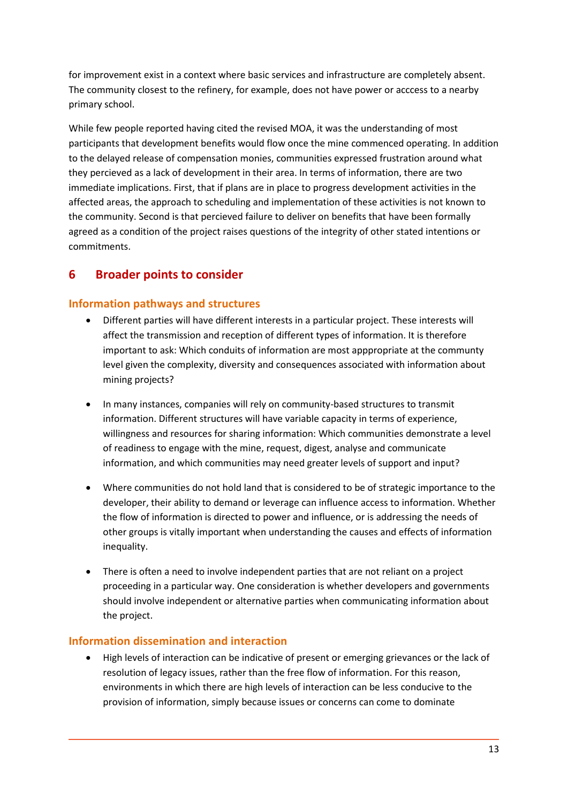for improvement exist in a context where basic services and infrastructure are completely absent. The community closest to the refinery, for example, does not have power or acccess to a nearby primary school.

While few people reported having cited the revised MOA, it was the understanding of most participants that development benefits would flow once the mine commenced operating. In addition to the delayed release of compensation monies, communities expressed frustration around what they percieved as a lack of development in their area. In terms of information, there are two immediate implications. First, that if plans are in place to progress development activities in the affected areas, the approach to scheduling and implementation of these activities is not known to the community. Second is that percieved failure to deliver on benefits that have been formally agreed as a condition of the project raises questions of the integrity of other stated intentions or commitments.

# <span id="page-18-0"></span>**6 Broader points to consider**

## <span id="page-18-1"></span>**Information pathways and structures**

- Different parties will have different interests in a particular project. These interests will affect the transmission and reception of different types of information. It is therefore important to ask: Which conduits of information are most apppropriate at the communty level given the complexity, diversity and consequences associated with information about mining projects?
- In many instances, companies will rely on community-based structures to transmit information. Different structures will have variable capacity in terms of experience, willingness and resources for sharing information: Which communities demonstrate a level of readiness to engage with the mine, request, digest, analyse and communicate information, and which communities may need greater levels of support and input?
- Where communities do not hold land that is considered to be of strategic importance to the developer, their ability to demand or leverage can influence access to information. Whether the flow of information is directed to power and influence, or is addressing the needs of other groups is vitally important when understanding the causes and effects of information inequality.
- There is often a need to involve independent parties that are not reliant on a project proceeding in a particular way. One consideration is whether developers and governments should involve independent or alternative parties when communicating information about the project.

#### <span id="page-18-2"></span>**Information dissemination and interaction**

• High levels of interaction can be indicative of present or emerging grievances or the lack of resolution of legacy issues, rather than the free flow of information. For this reason, environments in which there are high levels of interaction can be less conducive to the provision of information, simply because issues or concerns can come to dominate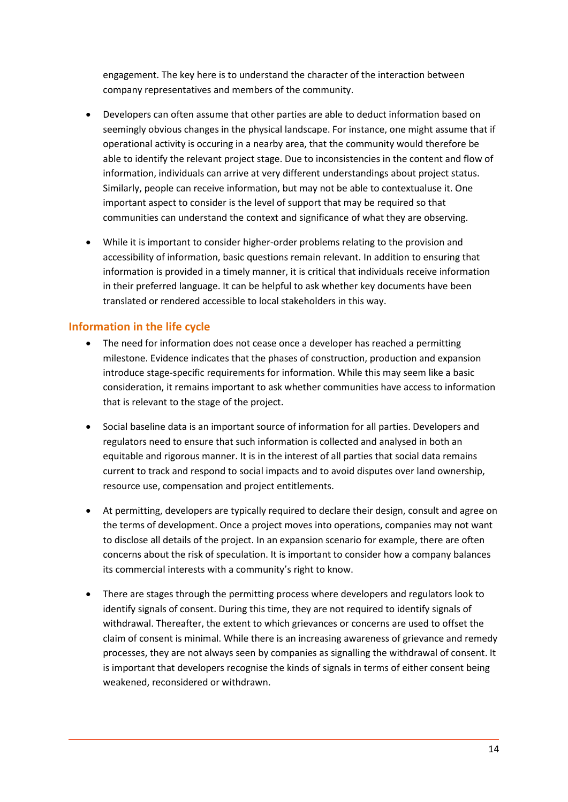engagement. The key here is to understand the character of the interaction between company representatives and members of the community.

- Developers can often assume that other parties are able to deduct information based on seemingly obvious changes in the physical landscape. For instance, one might assume that if operational activity is occuring in a nearby area, that the community would therefore be able to identify the relevant project stage. Due to inconsistencies in the content and flow of information, individuals can arrive at very different understandings about project status. Similarly, people can receive information, but may not be able to contextualuse it. One important aspect to consider is the level of support that may be required so that communities can understand the context and significance of what they are observing.
- While it is important to consider higher-order problems relating to the provision and accessibility of information, basic questions remain relevant. In addition to ensuring that information is provided in a timely manner, it is critical that individuals receive information in their preferred language. It can be helpful to ask whether key documents have been translated or rendered accessible to local stakeholders in this way.

#### <span id="page-19-0"></span>**Information in the life cycle**

- The need for information does not cease once a developer has reached a permitting milestone. Evidence indicates that the phases of construction, production and expansion introduce stage-specific requirements for information. While this may seem like a basic consideration, it remains important to ask whether communities have access to information that is relevant to the stage of the project.
- Social baseline data is an important source of information for all parties. Developers and regulators need to ensure that such information is collected and analysed in both an equitable and rigorous manner. It is in the interest of all parties that social data remains current to track and respond to social impacts and to avoid disputes over land ownership, resource use, compensation and project entitlements.
- At permitting, developers are typically required to declare their design, consult and agree on the terms of development. Once a project moves into operations, companies may not want to disclose all details of the project. In an expansion scenario for example, there are often concerns about the risk of speculation. It is important to consider how a company balances its commercial interests with a community's right to know.
- There are stages through the permitting process where developers and regulators look to identify signals of consent. During this time, they are not required to identify signals of withdrawal. Thereafter, the extent to which grievances or concerns are used to offset the claim of consent is minimal. While there is an increasing awareness of grievance and remedy processes, they are not always seen by companies as signalling the withdrawal of consent. It is important that developers recognise the kinds of signals in terms of either consent being weakened, reconsidered or withdrawn.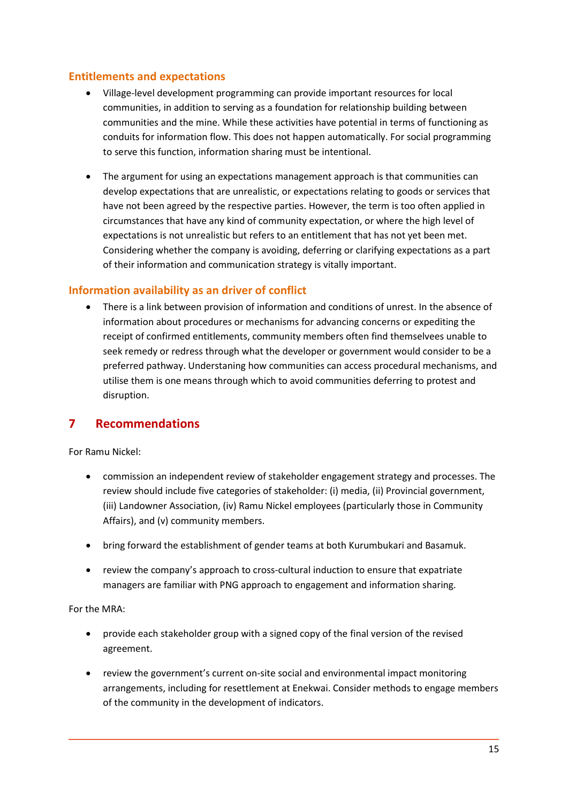#### <span id="page-20-0"></span>**Entitlements and expectations**

- Village-level development programming can provide important resources for local communities, in addition to serving as a foundation for relationship building between communities and the mine. While these activities have potential in terms of functioning as conduits for information flow. This does not happen automatically. For social programming to serve this function, information sharing must be intentional.
- The argument for using an expectations management approach is that communities can develop expectations that are unrealistic, or expectations relating to goods or services that have not been agreed by the respective parties. However, the term is too often applied in circumstances that have any kind of community expectation, or where the high level of expectations is not unrealistic but refers to an entitlement that has not yet been met. Considering whether the company is avoiding, deferring or clarifying expectations as a part of their information and communication strategy is vitally important.

#### <span id="page-20-1"></span>**Information availability as an driver of conflict**

• There is a link between provision of information and conditions of unrest. In the absence of information about procedures or mechanisms for advancing concerns or expediting the receipt of confirmed entitlements, community members often find themselvees unable to seek remedy or redress through what the developer or government would consider to be a preferred pathway. Understaning how communities can access procedural mechanisms, and utilise them is one means through which to avoid communities deferring to protest and disruption.

# <span id="page-20-2"></span>**7 Recommendations**

For Ramu Nickel:

- commission an independent review of stakeholder engagement strategy and processes. The review should include five categories of stakeholder: (i) media, (ii) Provincial government, (iii) Landowner Association, (iv) Ramu Nickel employees (particularly those in Community Affairs), and (v) community members.
- bring forward the establishment of gender teams at both Kurumbukari and Basamuk.
- review the company's approach to cross-cultural induction to ensure that expatriate managers are familiar with PNG approach to engagement and information sharing.

#### For the MRA:

- provide each stakeholder group with a signed copy of the final version of the revised agreement.
- review the government's current on-site social and environmental impact monitoring arrangements, including for resettlement at Enekwai. Consider methods to engage members of the community in the development of indicators.